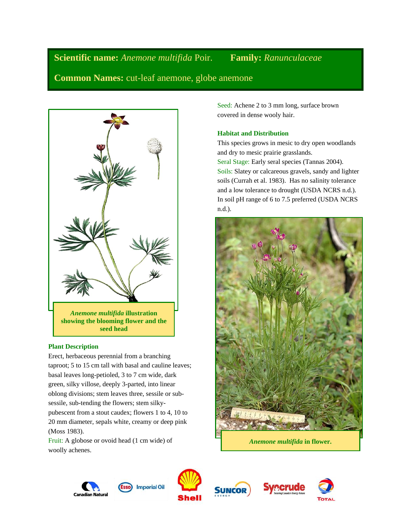**Scientific name:** *Anemone multifida* Poir. **Family:** *Ranunculaceae*

**Common Names:** cut-leaf anemone, globe anemone



## **Plant Description**

Erect, herbaceous perennial from a branching taproot; 5 to 15 cm tall with basal and cauline leaves; basal leaves long-petioled, 3 to 7 cm wide, dark green, silky villose, deeply 3-parted, into linear oblong divisions; stem leaves three, sessile or subsessile, sub-tending the flowers; stem silkypubescent from a stout caudex; flowers 1 to 4, 10 to 20 mm diameter, sepals white, creamy or deep pink (Moss 1983).

Fruit: A globose or ovoid head (1 cm wide) of woolly achenes.

Seed: Achene 2 to 3 mm long, surface brown covered in dense wooly hair.

# **Habitat and Distribution**

This species grows in mesic to dry open woodlands and dry to mesic prairie grasslands. Seral Stage: Early seral species (Tannas 2004). Soils: Slatey or calcareous gravels, sandy and lighter soils (Currah et al. 1983). Has no salinity tolerance and a low tolerance to drought (USDA NCRS n.d.). In soil pH range of 6 to 7.5 preferred (USDA NCRS n.d.).



*Anemone multifida* **in flower.**







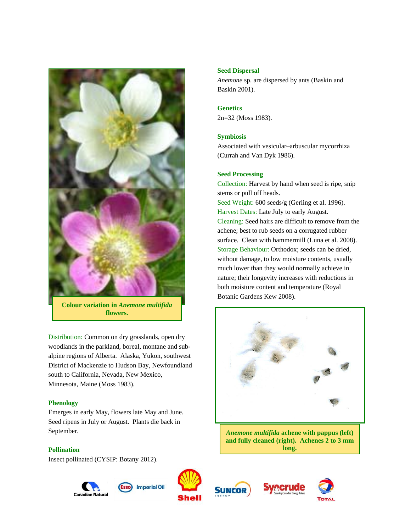

**Colour variation in** *Anemone multifida* **flowers.**

Distribution: Common on dry grasslands, open dry woodlands in the parkland, boreal, montane and subalpine regions of Alberta. Alaska, Yukon, southwest District of Mackenzie to Hudson Bay, Newfoundland south to California, Nevada, New Mexico, Minnesota, Maine (Moss 1983).

## **Phenology**

Emerges in early May, flowers late May and June. Seed ripens in July or August. Plants die back in September.

## **Pollination**

Insect pollinated (CYSIP: Botany 2012).









# **Seed Dispersal**

*Anemone* sp. are dispersed by ants (Baskin and Baskin 2001).

# **Genetics**

2n=32 (Moss 1983).

## **Symbiosis**

Associated with vesicular–arbuscular mycorrhiza (Currah and Van Dyk 1986).

## **Seed Processing**

Collection: Harvest by hand when seed is ripe, snip stems or pull off heads. Seed Weight: 600 seeds/g (Gerling et al. 1996). Harvest Dates: Late July to early August. Cleaning: Seed hairs are difficult to remove from the achene; best to rub seeds on a corrugated rubber surface. Clean with hammermill (Luna et al. 2008). Storage Behaviour: Orthodox; seeds can be dried, without damage, to low moisture contents, usually much lower than they would normally achieve in nature; their longevity increases with reductions in both moisture content and temperature (Royal Botanic Gardens Kew 2008).



*Anemone multifida* **achene with pappus (left) and fully cleaned (right). Achenes 2 to 3 mm long.**



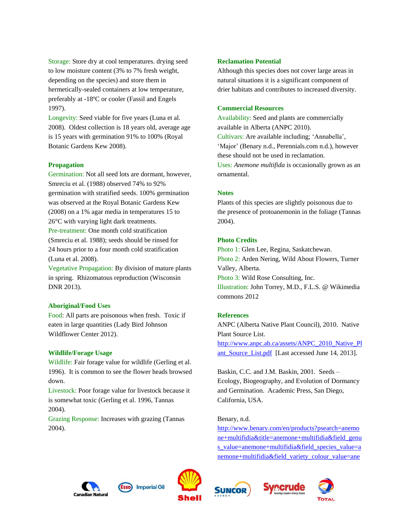Storage: Store dry at cool temperatures. drying seed to low moisture content (3% to 7% fresh weight, depending on the species) and store them in hermetically-sealed containers at low temperature, preferably at -18ºC or cooler (Fassil and Engels 1997).

Longevity: Seed viable for five years (Luna et al. 2008). Oldest collection is 18 years old, average age is 15 years with germination 91% to 100% (Royal Botanic Gardens Kew 2008).

### **Propagation**

Germination: Not all seed lots are dormant, however, Smreciu et al. (1988) observed 74% to 92% germination with stratified seeds. 100% germination was observed at the Royal Botanic Gardens Kew (2008) on a 1% agar media in temperatures 15 to 26°C with varying light dark treatments. Pre-treatment: One month cold stratification (Smreciu et al. 1988); seeds should be rinsed for 24 hours prior to a four month cold stratification (Luna et al. 2008).

Vegetative Propagation: By division of mature plants in spring. Rhizomatous reproduction (Wisconsin DNR 2013).

#### **Aboriginal/Food Uses**

Food: All parts are poisonous when fresh. Toxic if eaten in large quantities (Lady Bird Johnson Wildflower Center 2012).

#### **Wildlife/Forage Usage**

Wildlife: Fair forage value for wildlife (Gerling et al. 1996). It is common to see the flower heads browsed down.

Livestock: Poor forage value for livestock because it is somewhat toxic (Gerling et al. 1996, Tannas 2004).

Grazing Response: Increases with grazing (Tannas 2004).

#### **Reclamation Potential**

Although this species does not cover large areas in natural situations it is a significant component of drier habitats and contributes to increased diversity.

#### **Commercial Resources**

Availability: Seed and plants are commercially available in Alberta (ANPC 2010). Cultivars: Are available including; 'Annabella', 'Major' (Benary n.d., Perennials.com n.d.), however these should not be used in reclamation. Uses: *Anemone multifida* is occasionally grown as an ornamental.

#### **Notes**

Plants of this species are slightly poisonous due to the presence of protoanemonin in the foliage (Tannas 2004).

### **Photo Credits**

Photo 1: Glen Lee, Regina, Saskatchewan. Photo 2: Arden Nering, Wild About Flowers, Turner Valley, Alberta. Photo 3: Wild Rose Consulting, Inc. Illustration: John Torrey, M.D., F.L.S. @ Wikimedia commons 2012

## **References**

ANPC (Alberta Native Plant Council), 2010. Native Plant Source List. [http://www.anpc.ab.ca/assets/ANPC\\_2010\\_Native\\_Pl](http://www.anpc.ab.ca/assets/ANPC_2010_Native_Plant_Source_List.pdf) ant Source List.pdf [Last accessed June 14, 2013].

Baskin, C.C. and J.M. Baskin, 2001. Seeds – Ecology, Biogeography, and Evolution of Dormancy and Germination. Academic Press, San Diego, California, USA.

### Benary, n.d.

[http://www.benary.com/en/products?psearch=anemo](http://www.benary.com/en/products?psearch=anemone+multifidia&title=anemone+multifidia&field_genus_value=anemone+multifidia&field_species_value=anemone+multifidia&field_variety_colour_value=anemone+multifidia&field_variety_colour__de_value=anemone+multifidia&field_common_name_value=anemone+multifidia&field_common_name__de_value=anemone+multifidia&field_primary_article_value=All) [ne+multifidia&title=anemone+multifidia&field\\_genu](http://www.benary.com/en/products?psearch=anemone+multifidia&title=anemone+multifidia&field_genus_value=anemone+multifidia&field_species_value=anemone+multifidia&field_variety_colour_value=anemone+multifidia&field_variety_colour__de_value=anemone+multifidia&field_common_name_value=anemone+multifidia&field_common_name__de_value=anemone+multifidia&field_primary_article_value=All) [s\\_value=anemone+multifidia&field\\_species\\_value=a](http://www.benary.com/en/products?psearch=anemone+multifidia&title=anemone+multifidia&field_genus_value=anemone+multifidia&field_species_value=anemone+multifidia&field_variety_colour_value=anemone+multifidia&field_variety_colour__de_value=anemone+multifidia&field_common_name_value=anemone+multifidia&field_common_name__de_value=anemone+multifidia&field_primary_article_value=All) [nemone+multifidia&field\\_variety\\_colour\\_value=ane](http://www.benary.com/en/products?psearch=anemone+multifidia&title=anemone+multifidia&field_genus_value=anemone+multifidia&field_species_value=anemone+multifidia&field_variety_colour_value=anemone+multifidia&field_variety_colour__de_value=anemone+multifidia&field_common_name_value=anemone+multifidia&field_common_name__de_value=anemone+multifidia&field_primary_article_value=All)









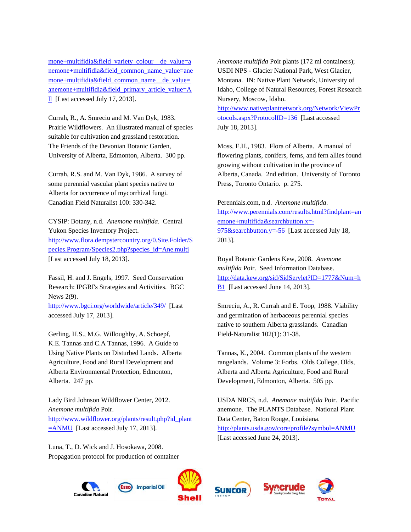[mone+multifidia&field\\_variety\\_colour\\_\\_de\\_value=a](http://www.benary.com/en/products?psearch=anemone+multifidia&title=anemone+multifidia&field_genus_value=anemone+multifidia&field_species_value=anemone+multifidia&field_variety_colour_value=anemone+multifidia&field_variety_colour__de_value=anemone+multifidia&field_common_name_value=anemone+multifidia&field_common_name__de_value=anemone+multifidia&field_primary_article_value=All) [nemone+multifidia&field\\_common\\_name\\_value=ane](http://www.benary.com/en/products?psearch=anemone+multifidia&title=anemone+multifidia&field_genus_value=anemone+multifidia&field_species_value=anemone+multifidia&field_variety_colour_value=anemone+multifidia&field_variety_colour__de_value=anemone+multifidia&field_common_name_value=anemone+multifidia&field_common_name__de_value=anemone+multifidia&field_primary_article_value=All) [mone+multifidia&field\\_common\\_name\\_\\_de\\_value=](http://www.benary.com/en/products?psearch=anemone+multifidia&title=anemone+multifidia&field_genus_value=anemone+multifidia&field_species_value=anemone+multifidia&field_variety_colour_value=anemone+multifidia&field_variety_colour__de_value=anemone+multifidia&field_common_name_value=anemone+multifidia&field_common_name__de_value=anemone+multifidia&field_primary_article_value=All) [anemone+multifidia&field\\_primary\\_article\\_value=A](http://www.benary.com/en/products?psearch=anemone+multifidia&title=anemone+multifidia&field_genus_value=anemone+multifidia&field_species_value=anemone+multifidia&field_variety_colour_value=anemone+multifidia&field_variety_colour__de_value=anemone+multifidia&field_common_name_value=anemone+multifidia&field_common_name__de_value=anemone+multifidia&field_primary_article_value=All) [ll](http://www.benary.com/en/products?psearch=anemone+multifidia&title=anemone+multifidia&field_genus_value=anemone+multifidia&field_species_value=anemone+multifidia&field_variety_colour_value=anemone+multifidia&field_variety_colour__de_value=anemone+multifidia&field_common_name_value=anemone+multifidia&field_common_name__de_value=anemone+multifidia&field_primary_article_value=All) [Last accessed July 17, 2013].

Currah, R., A. Smreciu and M. Van Dyk, 1983. Prairie Wildflowers. An illustrated manual of species suitable for cultivation and grassland restoration. The Friends of the Devonian Botanic Garden, University of Alberta, Edmonton, Alberta. 300 pp.

Currah, R.S. and M. Van Dyk, 1986. A survey of some perennial vascular plant species native to Alberta for occurrence of mycorrhizal fungi. Canadian Field Naturalist 100: 330-342.

CYSIP: Botany, n.d. *Anemone multifida*. Central Yukon Species Inventory Project. [http://www.flora.dempstercountry.org/0.Site.Folder/S](http://www.flora.dempstercountry.org/0.Site.Folder/Species.Program/Species2.php?species_id=Ane.multi) [pecies.Program/Species2.php?species\\_id=Ane.multi](http://www.flora.dempstercountry.org/0.Site.Folder/Species.Program/Species2.php?species_id=Ane.multi)  [Last accessed July 18, 2013].

Fassil, H. and J. Engels, 1997. Seed Conservation Research: IPGRI's Strategies and Activities. BGC News 2(9).

<http://www.bgci.org/worldwide/article/349/>[Last accessed July 17, 2013].

Gerling, H.S., M.G. Willoughby, A. Schoepf, K.E. Tannas and C.A Tannas, 1996. A Guide to Using Native Plants on Disturbed Lands. Alberta Agriculture, Food and Rural Development and Alberta Environmental Protection, Edmonton, Alberta. 247 pp.

Lady Bird Johnson Wildflower Center, 2012. *Anemone multifida* Poir. [http://www.wildflower.org/plants/result.php?id\\_plant](http://www.wildflower.org/plants/result.php?id_plant=ANMU)  $\equiv$  ANMU [Last accessed July 17, 2013].

Luna, T., D. Wick and J. Hosokawa, 2008. Propagation protocol for production of container *Anemone multifida* Poir plants (172 ml containers); USDI NPS - Glacier National Park, West Glacier, Montana. IN: Native Plant Network, University of Idaho, College of Natural Resources, Forest Research Nursery, Moscow, Idaho.

[http://www.nativeplantnetwork.org/Network/ViewPr](http://www.nativeplantnetwork.org/Network/ViewProtocols.aspx?ProtocolID=136) [otocols.aspx?ProtocolID=136](http://www.nativeplantnetwork.org/Network/ViewProtocols.aspx?ProtocolID=136) [Last accessed July 18, 2013].

Moss, E.H., 1983. Flora of Alberta. A manual of flowering plants, conifers, ferns, and fern allies found growing without cultivation in the province of Alberta, Canada. 2nd edition. University of Toronto Press, Toronto Ontario. p. 275.

Perennials.com, n.d. *Anemone multifida*. [http://www.perennials.com/results.html?findplant=an](http://www.perennials.com/results.html?findplant=anemone+multifida&searchbutton.x=-975&searchbutton.y=-56) [emone+multifida&searchbutton.x=-](http://www.perennials.com/results.html?findplant=anemone+multifida&searchbutton.x=-975&searchbutton.y=-56) [975&searchbutton.y=-56](http://www.perennials.com/results.html?findplant=anemone+multifida&searchbutton.x=-975&searchbutton.y=-56) [Last accessed July 18, 2013].

Royal Botanic Gardens Kew, 2008. *Anemone multifida* Poir. Seed Information Database. [http://data.kew.org/sid/SidServlet?ID=1777&Num=h](http://data.kew.org/sid/SidServlet?ID=1777&Num=hB1) [B1](http://data.kew.org/sid/SidServlet?ID=1777&Num=hB1) [Last accessed June 14, 2013].

Smreciu, A., R. Currah and E. Toop, 1988. Viability and germination of herbaceous perennial species native to southern Alberta grasslands. Canadian Field-Naturalist 102(1): 31-38.

Tannas, K., 2004. Common plants of the western rangelands. Volume 3: Forbs. Olds College, Olds, Alberta and Alberta Agriculture, Food and Rural Development, Edmonton, Alberta. 505 pp.

USDA NRCS, n.d. *Anemone multifida* Poir. Pacific anemone. The PLANTS Database. National Plant Data Center, Baton Rouge, Louisiana. <http://plants.usda.gov/core/profile?symbol=ANMU> [Last accessed June 24, 2013].

rerude